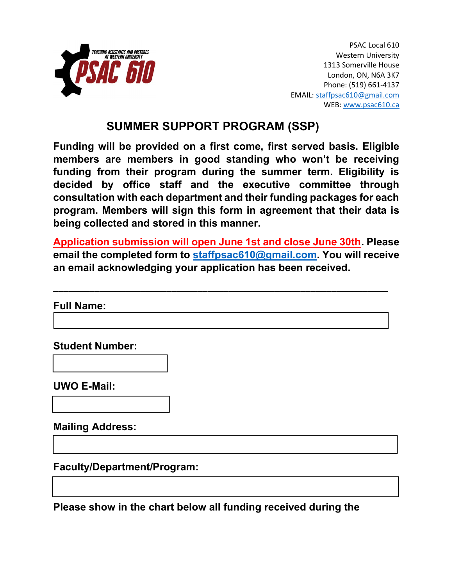

PSAC Local 610 Western University 1313 Somerville House London, ON, N6A 3K7 Phone: (519) 661-4137 EMAIL: staffpsac610@gmail.com WEB: www.psac610.ca

# SUMMER SUPPORT PROGRAM (SSP)

Funding will be provided on a first come, first served basis. Eligible members are members in good standing who won't be receiving funding from their program during the summer term. Eligibility is decided by office staff and the executive committee through consultation with each department and their funding packages for each program. Members will sign this form in agreement that their data is being collected and stored in this manner.

Application submission will open June 1st and close June 30th. Please email the completed form to staffpsac610@gmail.com. You will receive an email acknowledging your application has been received.

\_\_\_\_\_\_\_\_\_\_\_\_\_\_\_\_\_\_\_\_\_\_\_\_\_\_\_\_\_\_\_\_\_\_\_\_\_\_\_\_\_\_\_\_\_\_\_\_\_\_\_\_\_\_\_\_\_\_\_\_\_\_\_\_\_

Full Name:

Student Number:

UWO E-Mail:

Mailing Address:

Faculty/Department/Program:

Please show in the chart below all funding received during the